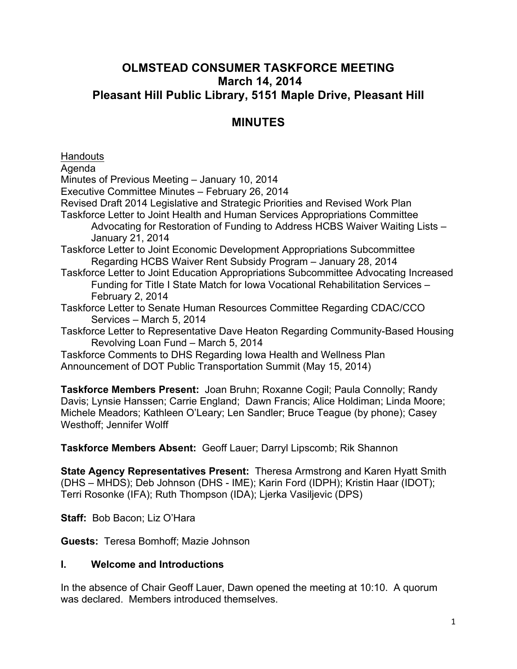## **OLMSTEAD CONSUMER TASKFORCE MEETING March 14, 2014 Pleasant Hill Public Library, 5151 Maple Drive, Pleasant Hill**

# **MINUTES**

**Handouts** 

Agenda

Minutes of Previous Meeting – January 10, 2014

Executive Committee Minutes – February 26, 2014

Revised Draft 2014 Legislative and Strategic Priorities and Revised Work Plan

Taskforce Letter to Joint Health and Human Services Appropriations Committee Advocating for Restoration of Funding to Address HCBS Waiver Waiting Lists – January 21, 2014

Taskforce Letter to Joint Economic Development Appropriations Subcommittee Regarding HCBS Waiver Rent Subsidy Program – January 28, 2014

Taskforce Letter to Joint Education Appropriations Subcommittee Advocating Increased Funding for Title I State Match for Iowa Vocational Rehabilitation Services – February 2, 2014

Taskforce Letter to Senate Human Resources Committee Regarding CDAC/CCO Services – March 5, 2014

Taskforce Letter to Representative Dave Heaton Regarding Community-Based Housing Revolving Loan Fund – March 5, 2014

Taskforce Comments to DHS Regarding Iowa Health and Wellness Plan Announcement of DOT Public Transportation Summit (May 15, 2014)

**Taskforce Members Present:** Joan Bruhn; Roxanne Cogil; Paula Connolly; Randy Davis; Lynsie Hanssen; Carrie England; Dawn Francis; Alice Holdiman; Linda Moore; Michele Meadors; Kathleen O'Leary; Len Sandler; Bruce Teague (by phone); Casey Westhoff; Jennifer Wolff

**Taskforce Members Absent:** Geoff Lauer; Darryl Lipscomb; Rik Shannon

**State Agency Representatives Present:** Theresa Armstrong and Karen Hyatt Smith (DHS – MHDS); Deb Johnson (DHS - IME); Karin Ford (IDPH); Kristin Haar (IDOT); Terri Rosonke (IFA); Ruth Thompson (IDA); Ljerka Vasiljevic (DPS)

**Staff:** Bob Bacon; Liz O'Hara

**Guests:** Teresa Bomhoff; Mazie Johnson

## **I. Welcome and Introductions**

In the absence of Chair Geoff Lauer, Dawn opened the meeting at 10:10. A quorum was declared. Members introduced themselves.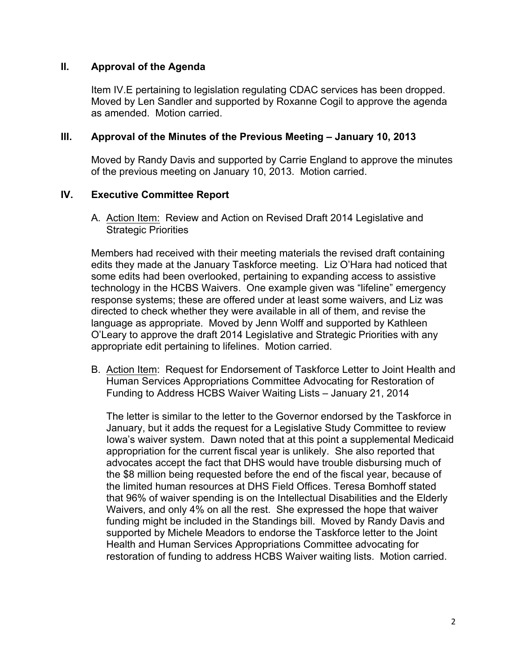## **II. Approval of the Agenda**

Item IV.E pertaining to legislation regulating CDAC services has been dropped. Moved by Len Sandler and supported by Roxanne Cogil to approve the agenda as amended. Motion carried.

## **III. Approval of the Minutes of the Previous Meeting – January 10, 2013**

Moved by Randy Davis and supported by Carrie England to approve the minutes of the previous meeting on January 10, 2013. Motion carried.

## **IV. Executive Committee Report**

A. Action Item: Review and Action on Revised Draft 2014 Legislative and Strategic Priorities

Members had received with their meeting materials the revised draft containing edits they made at the January Taskforce meeting. Liz O'Hara had noticed that some edits had been overlooked, pertaining to expanding access to assistive technology in the HCBS Waivers. One example given was "lifeline" emergency response systems; these are offered under at least some waivers, and Liz was directed to check whether they were available in all of them, and revise the language as appropriate. Moved by Jenn Wolff and supported by Kathleen O'Leary to approve the draft 2014 Legislative and Strategic Priorities with any appropriate edit pertaining to lifelines. Motion carried.

B. Action Item: Request for Endorsement of Taskforce Letter to Joint Health and Human Services Appropriations Committee Advocating for Restoration of Funding to Address HCBS Waiver Waiting Lists – January 21, 2014

The letter is similar to the letter to the Governor endorsed by the Taskforce in January, but it adds the request for a Legislative Study Committee to review Iowa's waiver system. Dawn noted that at this point a supplemental Medicaid appropriation for the current fiscal year is unlikely. She also reported that advocates accept the fact that DHS would have trouble disbursing much of the \$8 million being requested before the end of the fiscal year, because of the limited human resources at DHS Field Offices. Teresa Bomhoff stated that 96% of waiver spending is on the Intellectual Disabilities and the Elderly Waivers, and only 4% on all the rest. She expressed the hope that waiver funding might be included in the Standings bill. Moved by Randy Davis and supported by Michele Meadors to endorse the Taskforce letter to the Joint Health and Human Services Appropriations Committee advocating for restoration of funding to address HCBS Waiver waiting lists. Motion carried.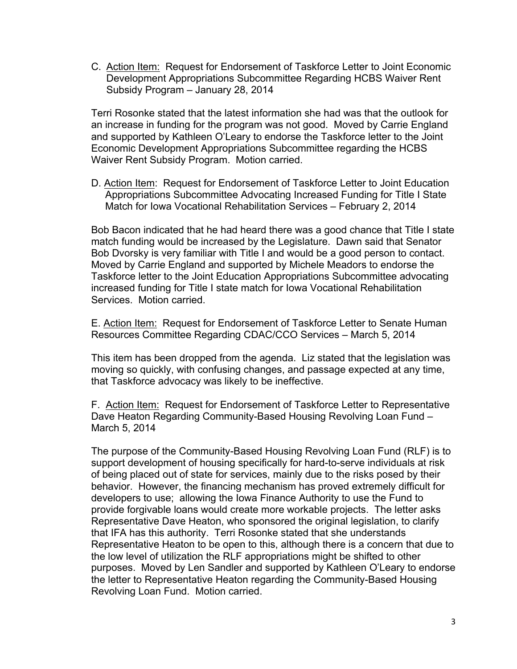C. Action Item: Request for Endorsement of Taskforce Letter to Joint Economic Development Appropriations Subcommittee Regarding HCBS Waiver Rent Subsidy Program – January 28, 2014

Terri Rosonke stated that the latest information she had was that the outlook for an increase in funding for the program was not good. Moved by Carrie England and supported by Kathleen O'Leary to endorse the Taskforce letter to the Joint Economic Development Appropriations Subcommittee regarding the HCBS Waiver Rent Subsidy Program. Motion carried.

D. Action Item: Request for Endorsement of Taskforce Letter to Joint Education Appropriations Subcommittee Advocating Increased Funding for Title I State Match for Iowa Vocational Rehabilitation Services – February 2, 2014

Bob Bacon indicated that he had heard there was a good chance that Title I state match funding would be increased by the Legislature. Dawn said that Senator Bob Dvorsky is very familiar with Title I and would be a good person to contact. Moved by Carrie England and supported by Michele Meadors to endorse the Taskforce letter to the Joint Education Appropriations Subcommittee advocating increased funding for Title I state match for Iowa Vocational Rehabilitation Services. Motion carried.

E. Action Item: Request for Endorsement of Taskforce Letter to Senate Human Resources Committee Regarding CDAC/CCO Services – March 5, 2014

This item has been dropped from the agenda. Liz stated that the legislation was moving so quickly, with confusing changes, and passage expected at any time, that Taskforce advocacy was likely to be ineffective.

F. Action Item: Request for Endorsement of Taskforce Letter to Representative Dave Heaton Regarding Community-Based Housing Revolving Loan Fund – March 5, 2014

The purpose of the Community-Based Housing Revolving Loan Fund (RLF) is to support development of housing specifically for hard-to-serve individuals at risk of being placed out of state for services, mainly due to the risks posed by their behavior. However, the financing mechanism has proved extremely difficult for developers to use; allowing the Iowa Finance Authority to use the Fund to provide forgivable loans would create more workable projects. The letter asks Representative Dave Heaton, who sponsored the original legislation, to clarify that IFA has this authority. Terri Rosonke stated that she understands Representative Heaton to be open to this, although there is a concern that due to the low level of utilization the RLF appropriations might be shifted to other purposes. Moved by Len Sandler and supported by Kathleen O'Leary to endorse the letter to Representative Heaton regarding the Community-Based Housing Revolving Loan Fund. Motion carried.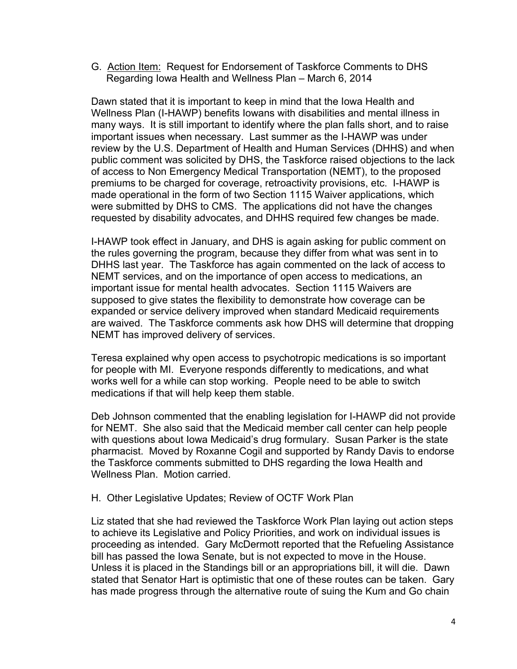G. Action Item: Request for Endorsement of Taskforce Comments to DHS Regarding Iowa Health and Wellness Plan – March 6, 2014

Dawn stated that it is important to keep in mind that the Iowa Health and Wellness Plan (I-HAWP) benefits Iowans with disabilities and mental illness in many ways. It is still important to identify where the plan falls short, and to raise important issues when necessary. Last summer as the I-HAWP was under review by the U.S. Department of Health and Human Services (DHHS) and when public comment was solicited by DHS, the Taskforce raised objections to the lack of access to Non Emergency Medical Transportation (NEMT), to the proposed premiums to be charged for coverage, retroactivity provisions, etc. I-HAWP is made operational in the form of two Section 1115 Waiver applications, which were submitted by DHS to CMS. The applications did not have the changes requested by disability advocates, and DHHS required few changes be made.

I-HAWP took effect in January, and DHS is again asking for public comment on the rules governing the program, because they differ from what was sent in to DHHS last year. The Taskforce has again commented on the lack of access to NEMT services, and on the importance of open access to medications, an important issue for mental health advocates. Section 1115 Waivers are supposed to give states the flexibility to demonstrate how coverage can be expanded or service delivery improved when standard Medicaid requirements are waived. The Taskforce comments ask how DHS will determine that dropping NEMT has improved delivery of services.

Teresa explained why open access to psychotropic medications is so important for people with MI. Everyone responds differently to medications, and what works well for a while can stop working. People need to be able to switch medications if that will help keep them stable.

Deb Johnson commented that the enabling legislation for I-HAWP did not provide for NEMT. She also said that the Medicaid member call center can help people with questions about Iowa Medicaid's drug formulary. Susan Parker is the state pharmacist. Moved by Roxanne Cogil and supported by Randy Davis to endorse the Taskforce comments submitted to DHS regarding the Iowa Health and Wellness Plan. Motion carried.

#### H. Other Legislative Updates; Review of OCTF Work Plan

Liz stated that she had reviewed the Taskforce Work Plan laying out action steps to achieve its Legislative and Policy Priorities, and work on individual issues is proceeding as intended. Gary McDermott reported that the Refueling Assistance bill has passed the Iowa Senate, but is not expected to move in the House. Unless it is placed in the Standings bill or an appropriations bill, it will die. Dawn stated that Senator Hart is optimistic that one of these routes can be taken. Gary has made progress through the alternative route of suing the Kum and Go chain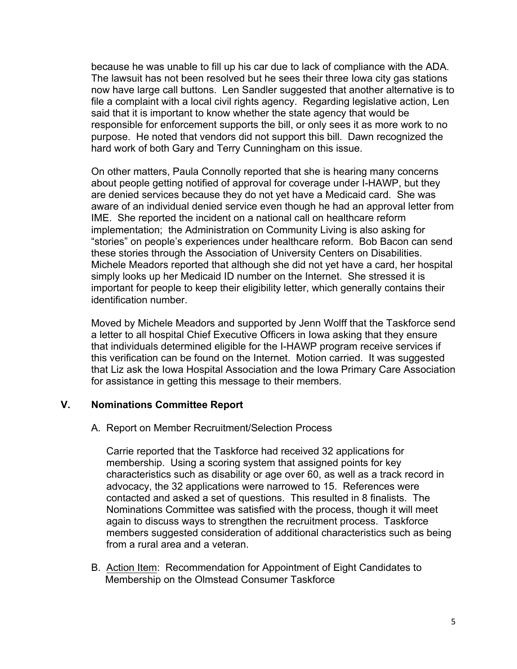because he was unable to fill up his car due to lack of compliance with the ADA. The lawsuit has not been resolved but he sees their three Iowa city gas stations now have large call buttons. Len Sandler suggested that another alternative is to file a complaint with a local civil rights agency. Regarding legislative action, Len said that it is important to know whether the state agency that would be responsible for enforcement supports the bill, or only sees it as more work to no purpose. He noted that vendors did not support this bill. Dawn recognized the hard work of both Gary and Terry Cunningham on this issue.

On other matters, Paula Connolly reported that she is hearing many concerns about people getting notified of approval for coverage under I-HAWP, but they are denied services because they do not yet have a Medicaid card. She was aware of an individual denied service even though he had an approval letter from IME. She reported the incident on a national call on healthcare reform implementation; the Administration on Community Living is also asking for "stories" on people's experiences under healthcare reform. Bob Bacon can send these stories through the Association of University Centers on Disabilities. Michele Meadors reported that although she did not yet have a card, her hospital simply looks up her Medicaid ID number on the Internet. She stressed it is important for people to keep their eligibility letter, which generally contains their identification number.

Moved by Michele Meadors and supported by Jenn Wolff that the Taskforce send a letter to all hospital Chief Executive Officers in Iowa asking that they ensure that individuals determined eligible for the I-HAWP program receive services if this verification can be found on the Internet. Motion carried. It was suggested that Liz ask the Iowa Hospital Association and the Iowa Primary Care Association for assistance in getting this message to their members.

## **V. Nominations Committee Report**

#### A. Report on Member Recruitment/Selection Process

Carrie reported that the Taskforce had received 32 applications for membership. Using a scoring system that assigned points for key characteristics such as disability or age over 60, as well as a track record in advocacy, the 32 applications were narrowed to 15. References were contacted and asked a set of questions. This resulted in 8 finalists. The Nominations Committee was satisfied with the process, though it will meet again to discuss ways to strengthen the recruitment process. Taskforce members suggested consideration of additional characteristics such as being from a rural area and a veteran.

B. Action Item: Recommendation for Appointment of Eight Candidates to Membership on the Olmstead Consumer Taskforce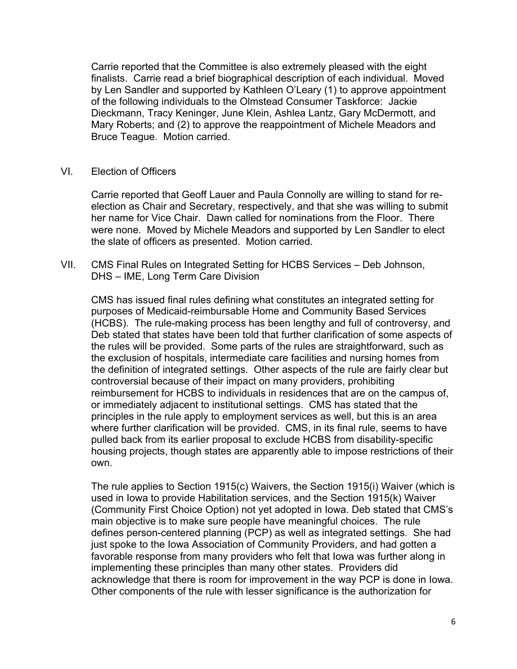Carrie reported that the Committee is also extremely pleased with the eight finalists. Carrie read a brief biographical description of each individual. Moved by Len Sandler and supported by Kathleen O'Leary (1) to approve appointment of the following individuals to the Olmstead Consumer Taskforce: Jackie Dieckmann, Tracy Keninger, June Klein, Ashlea Lantz, Gary McDermott, and Mary Roberts; and (2) to approve the reappointment of Michele Meadors and Bruce Teague. Motion carried.

VI. Election of Officers

Carrie reported that Geoff Lauer and Paula Connolly are willing to stand for reelection as Chair and Secretary, respectively, and that she was willing to submit her name for Vice Chair. Dawn called for nominations from the Floor. There were none. Moved by Michele Meadors and supported by Len Sandler to elect the slate of officers as presented. Motion carried.

VII. CMS Final Rules on Integrated Setting for HCBS Services – Deb Johnson, DHS – IME, Long Term Care Division

CMS has issued final rules defining what constitutes an integrated setting for purposes of Medicaid-reimbursable Home and Community Based Services (HCBS). The rule-making process has been lengthy and full of controversy, and Deb stated that states have been told that further clarification of some aspects of the rules will be provided. Some parts of the rules are straightforward, such as the exclusion of hospitals, intermediate care facilities and nursing homes from the definition of integrated settings. Other aspects of the rule are fairly clear but controversial because of their impact on many providers, prohibiting reimbursement for HCBS to individuals in residences that are on the campus of, or immediately adjacent to institutional settings. CMS has stated that the principles in the rule apply to employment services as well, but this is an area where further clarification will be provided. CMS, in its final rule, seems to have pulled back from its earlier proposal to exclude HCBS from disability-specific housing projects, though states are apparently able to impose restrictions of their own.

The rule applies to Section 1915(c) Waivers, the Section 1915(i) Waiver (which is used in Iowa to provide Habilitation services, and the Section 1915(k) Waiver (Community First Choice Option) not yet adopted in Iowa. Deb stated that CMS's main objective is to make sure people have meaningful choices. The rule defines person-centered planning (PCP) as well as integrated settings. She had just spoke to the Iowa Association of Community Providers, and had gotten a favorable response from many providers who felt that Iowa was further along in implementing these principles than many other states. Providers did acknowledge that there is room for improvement in the way PCP is done in Iowa. Other components of the rule with lesser significance is the authorization for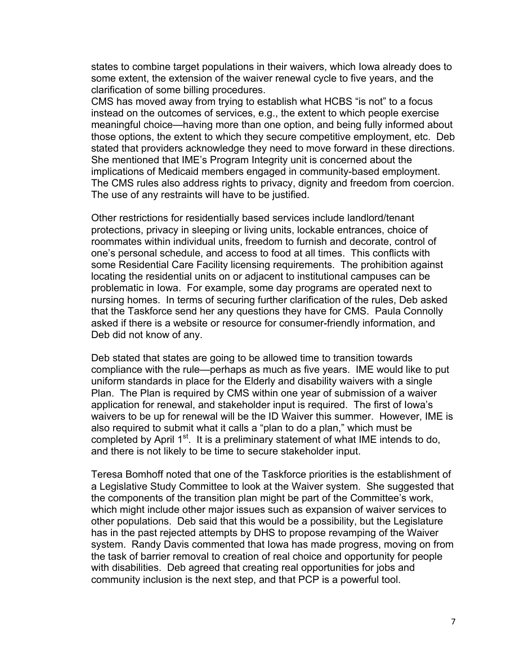states to combine target populations in their waivers, which Iowa already does to some extent, the extension of the waiver renewal cycle to five years, and the clarification of some billing procedures.

CMS has moved away from trying to establish what HCBS "is not" to a focus instead on the outcomes of services, e.g., the extent to which people exercise meaningful choice—having more than one option, and being fully informed about those options, the extent to which they secure competitive employment, etc. Deb stated that providers acknowledge they need to move forward in these directions. She mentioned that IME's Program Integrity unit is concerned about the implications of Medicaid members engaged in community-based employment. The CMS rules also address rights to privacy, dignity and freedom from coercion. The use of any restraints will have to be justified.

Other restrictions for residentially based services include landlord/tenant protections, privacy in sleeping or living units, lockable entrances, choice of roommates within individual units, freedom to furnish and decorate, control of one's personal schedule, and access to food at all times. This conflicts with some Residential Care Facility licensing requirements. The prohibition against locating the residential units on or adjacent to institutional campuses can be problematic in Iowa. For example, some day programs are operated next to nursing homes. In terms of securing further clarification of the rules, Deb asked that the Taskforce send her any questions they have for CMS. Paula Connolly asked if there is a website or resource for consumer-friendly information, and Deb did not know of any.

Deb stated that states are going to be allowed time to transition towards compliance with the rule—perhaps as much as five years. IME would like to put uniform standards in place for the Elderly and disability waivers with a single Plan. The Plan is required by CMS within one year of submission of a waiver application for renewal, and stakeholder input is required. The first of Iowa's waivers to be up for renewal will be the ID Waiver this summer. However, IME is also required to submit what it calls a "plan to do a plan," which must be completed by April  $1^{st}$ . It is a preliminary statement of what IME intends to do, and there is not likely to be time to secure stakeholder input.

Teresa Bomhoff noted that one of the Taskforce priorities is the establishment of a Legislative Study Committee to look at the Waiver system. She suggested that the components of the transition plan might be part of the Committee's work, which might include other major issues such as expansion of waiver services to other populations. Deb said that this would be a possibility, but the Legislature has in the past rejected attempts by DHS to propose revamping of the Waiver system. Randy Davis commented that Iowa has made progress, moving on from the task of barrier removal to creation of real choice and opportunity for people with disabilities. Deb agreed that creating real opportunities for jobs and community inclusion is the next step, and that PCP is a powerful tool.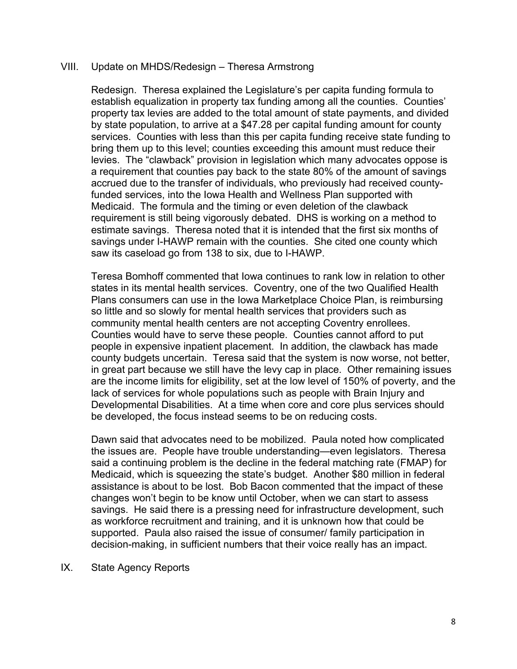#### VIII. Update on MHDS/Redesign – Theresa Armstrong

Redesign. Theresa explained the Legislature's per capita funding formula to establish equalization in property tax funding among all the counties. Counties' property tax levies are added to the total amount of state payments, and divided by state population, to arrive at a \$47.28 per capital funding amount for county services. Counties with less than this per capita funding receive state funding to bring them up to this level; counties exceeding this amount must reduce their levies. The "clawback" provision in legislation which many advocates oppose is a requirement that counties pay back to the state 80% of the amount of savings accrued due to the transfer of individuals, who previously had received countyfunded services, into the Iowa Health and Wellness Plan supported with Medicaid. The formula and the timing or even deletion of the clawback requirement is still being vigorously debated. DHS is working on a method to estimate savings. Theresa noted that it is intended that the first six months of savings under I-HAWP remain with the counties. She cited one county which saw its caseload go from 138 to six, due to I-HAWP.

Teresa Bomhoff commented that Iowa continues to rank low in relation to other states in its mental health services. Coventry, one of the two Qualified Health Plans consumers can use in the Iowa Marketplace Choice Plan, is reimbursing so little and so slowly for mental health services that providers such as community mental health centers are not accepting Coventry enrollees. Counties would have to serve these people. Counties cannot afford to put people in expensive inpatient placement. In addition, the clawback has made county budgets uncertain. Teresa said that the system is now worse, not better, in great part because we still have the levy cap in place. Other remaining issues are the income limits for eligibility, set at the low level of 150% of poverty, and the lack of services for whole populations such as people with Brain Injury and Developmental Disabilities. At a time when core and core plus services should be developed, the focus instead seems to be on reducing costs.

Dawn said that advocates need to be mobilized. Paula noted how complicated the issues are. People have trouble understanding—even legislators. Theresa said a continuing problem is the decline in the federal matching rate (FMAP) for Medicaid, which is squeezing the state's budget. Another \$80 million in federal assistance is about to be lost. Bob Bacon commented that the impact of these changes won't begin to be know until October, when we can start to assess savings. He said there is a pressing need for infrastructure development, such as workforce recruitment and training, and it is unknown how that could be supported. Paula also raised the issue of consumer/ family participation in decision-making, in sufficient numbers that their voice really has an impact.

#### IX. State Agency Reports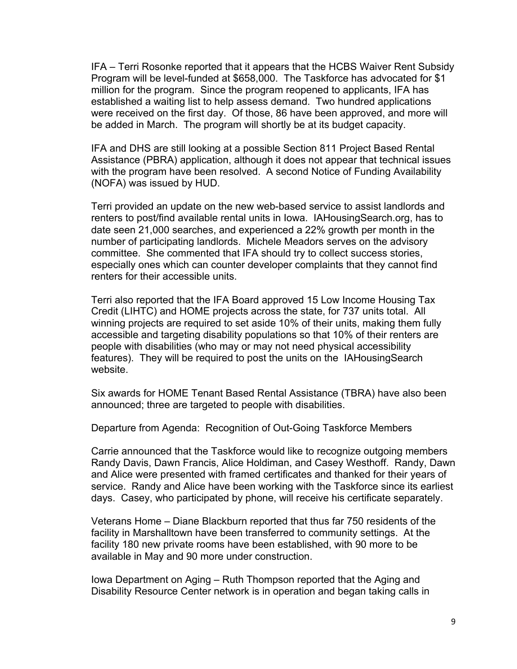IFA – Terri Rosonke reported that it appears that the HCBS Waiver Rent Subsidy Program will be level-funded at \$658,000. The Taskforce has advocated for \$1 million for the program. Since the program reopened to applicants, IFA has established a waiting list to help assess demand. Two hundred applications were received on the first day. Of those, 86 have been approved, and more will be added in March. The program will shortly be at its budget capacity.

IFA and DHS are still looking at a possible Section 811 Project Based Rental Assistance (PBRA) application, although it does not appear that technical issues with the program have been resolved. A second Notice of Funding Availability (NOFA) was issued by HUD.

Terri provided an update on the new web-based service to assist landlords and renters to post/find available rental units in Iowa. IAHousingSearch.org, has to date seen 21,000 searches, and experienced a 22% growth per month in the number of participating landlords. Michele Meadors serves on the advisory committee. She commented that IFA should try to collect success stories, especially ones which can counter developer complaints that they cannot find renters for their accessible units.

Terri also reported that the IFA Board approved 15 Low Income Housing Tax Credit (LIHTC) and HOME projects across the state, for 737 units total. All winning projects are required to set aside 10% of their units, making them fully accessible and targeting disability populations so that 10% of their renters are people with disabilities (who may or may not need physical accessibility features). They will be required to post the units on the IAHousingSearch website.

Six awards for HOME Tenant Based Rental Assistance (TBRA) have also been announced; three are targeted to people with disabilities.

Departure from Agenda: Recognition of Out-Going Taskforce Members

Carrie announced that the Taskforce would like to recognize outgoing members Randy Davis, Dawn Francis, Alice Holdiman, and Casey Westhoff. Randy, Dawn and Alice were presented with framed certificates and thanked for their years of service. Randy and Alice have been working with the Taskforce since its earliest days. Casey, who participated by phone, will receive his certificate separately.

Veterans Home – Diane Blackburn reported that thus far 750 residents of the facility in Marshalltown have been transferred to community settings. At the facility 180 new private rooms have been established, with 90 more to be available in May and 90 more under construction.

Iowa Department on Aging – Ruth Thompson reported that the Aging and Disability Resource Center network is in operation and began taking calls in